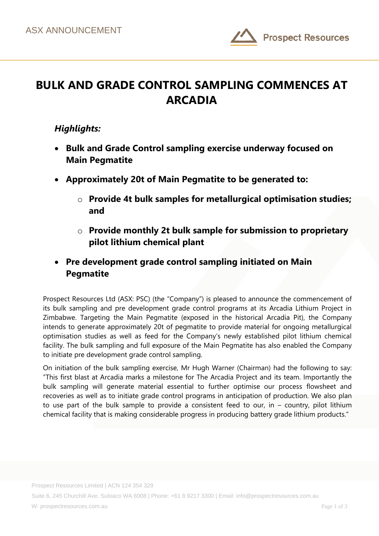

## **BULK AND GRADE CONTROL SAMPLING COMMENCES AT ARCADIA**

## *Highlights:*

- **Bulk and Grade Control sampling exercise underway focused on Main Pegmatite**
- **Approximately 20t of Main Pegmatite to be generated to:**
	- o **Provide 4t bulk samples for metallurgical optimisation studies; and**
	- o **Provide monthly 2t bulk sample for submission to proprietary pilot lithium chemical plant**
- **Pre development grade control sampling initiated on Main Pegmatite**

Prospect Resources Ltd (ASX: PSC) (the "Company") is pleased to announce the commencement of its bulk sampling and pre development grade control programs at its Arcadia Lithium Project in Zimbabwe. Targeting the Main Pegmatite (exposed in the historical Arcadia Pit), the Company intends to generate approximately 20t of pegmatite to provide material for ongoing metallurgical optimisation studies as well as feed for the Company's newly established pilot lithium chemical facility. The bulk sampling and full exposure of the Main Pegmatite has also enabled the Company to initiate pre development grade control sampling.

On initiation of the bulk sampling exercise, Mr Hugh Warner (Chairman) had the following to say: "This first blast at Arcadia marks a milestone for The Arcadia Project and its team. Importantly the bulk sampling will generate material essential to further optimise our process flowsheet and recoveries as well as to initiate grade control programs in anticipation of production. We also plan to use part of the bulk sample to provide a consistent feed to our, in – country, pilot lithium chemical facility that is making considerable progress in producing battery grade lithium products."

Suite 6, 245 Churchill Ave. Subiaco WA 6008 | Phone: +61 8 9217 3300 | Email: info@prospectresources.com.au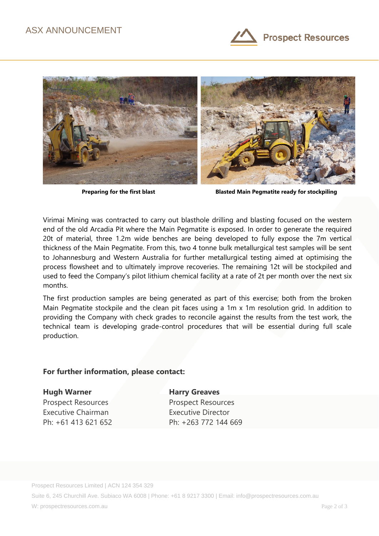



**Preparing for the first blast Blasted Main Pegmatite ready for stockpiling**

Virimai Mining was contracted to carry out blasthole drilling and blasting focused on the western end of the old Arcadia Pit where the Main Pegmatite is exposed. In order to generate the required 20t of material, three 1.2m wide benches are being developed to fully expose the 7m vertical thickness of the Main Pegmatite. From this, two 4 tonne bulk metallurgical test samples will be sent to Johannesburg and Western Australia for further metallurgical testing aimed at optimising the process flowsheet and to ultimately improve recoveries. The remaining 12t will be stockpiled and used to feed the Company's pilot lithium chemical facility at a rate of 2t per month over the next six months.

The first production samples are being generated as part of this exercise; both from the broken Main Pegmatite stockpile and the clean pit faces using a 1m x 1m resolution grid. In addition to providing the Company with check grades to reconcile against the results from the test work, the technical team is developing grade-control procedures that will be essential during full scale production.

## **For further information, please contact:**

**Hugh Warner Harry Greaves** 

Prospect Resources **Prospect Resources** Executive Chairman **Executive Director** 

Ph: +61 413 621 652 Ph: +263 772 144 669

Prospect Resources Limited | ACN 124 354 329

Suite 6, 245 Churchill Ave. Subiaco WA 6008 | Phone: +61 8 9217 3300 | Email: info@prospectresources.com.au

W: prospectresources.com.au Page 2 of 3